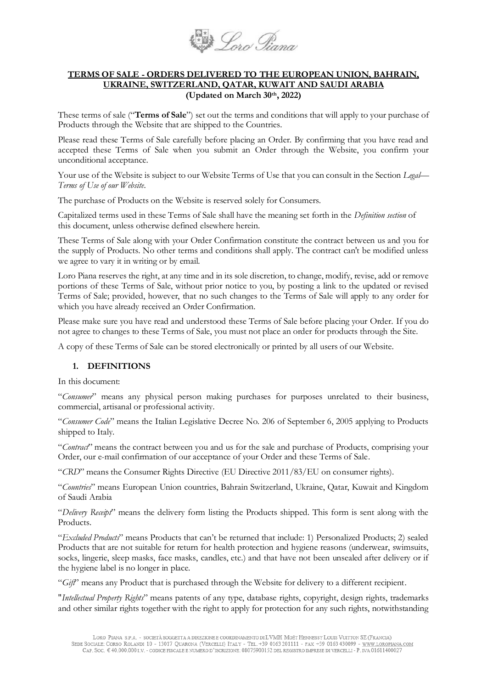

#### **TERMS OF SALE - ORDERS DELIVERED TO THE EUROPEAN UNION, BAHRAIN, UKRAINE, SWITZERLAND, QATAR, KUWAIT AND SAUDI ARABIA (Updated on March 30th, 2022)**

These terms of sale ("**Terms of Sale**") set out the terms and conditions that will apply to your purchase of Products through the Website that are shipped to the Countries.

Please read these Terms of Sale carefully before placing an Order. By confirming that you have read and accepted these Terms of Sale when you submit an Order through the Website, you confirm your unconditional acceptance.

Your use of the Website is subject to our Website Terms of Use that you can consult in the Section *Legal*— *Terms of Use of our Website.*

The purchase of Products on the Website is reserved solely for Consumers.

Capitalized terms used in these Terms of Sale shall have the meaning set forth in the *Definition section* of this document, unless otherwise defined elsewhere herein.

These Terms of Sale along with your Order Confirmation constitute the contract between us and you for the supply of Products. No other terms and conditions shall apply. The contract can't be modified unless we agree to vary it in writing or by email.

Loro Piana reserves the right, at any time and in its sole discretion, to change, modify, revise, add or remove portions of these Terms of Sale, without prior notice to you, by posting a link to the updated or revised Terms of Sale; provided, however, that no such changes to the Terms of Sale will apply to any order for which you have already received an Order Confirmation.

Please make sure you have read and understood these Terms of Sale before placing your Order. If you do not agree to changes to these Terms of Sale, you must not place an order for products through the Site.

A copy of these Terms of Sale can be stored electronically or printed by all users of our Website.

### **1. DEFINITIONS**

In this document:

"*Consumer*" means any physical person making purchases for purposes unrelated to their business, commercial, artisanal or professional activity.

"*Consumer Code*" means the Italian Legislative Decree No. 206 of September 6, 2005 applying to Products shipped to Italy.

"*Contract*" means the contract between you and us for the sale and purchase of Products, comprising your Order, our e-mail confirmation of our acceptance of your Order and these Terms of Sale.

"*CRD*" means the Consumer Rights Directive (EU Directive 2011/83/EU on consumer rights).

"*Countries*" means European Union countries, Bahrain Switzerland, Ukraine, Qatar, Kuwait and Kingdom of Saudi Arabia

"*Delivery Receipt*" means the delivery form listing the Products shipped. This form is sent along with the Products.

"*Excluded Products*" means Products that can't be returned that include: 1) Personalized Products; 2) sealed Products that are not suitable for return for health protection and hygiene reasons (underwear, swimsuits, socks, lingerie, sleep masks, face masks, candles, etc.) and that have not been unsealed after delivery or if the hygiene label is no longer in place.

"*Gift*" means any Product that is purchased through the Website for delivery to a different recipient.

"*Intellectual Property Rights*" means patents of any type, database rights, copyright, design rights, trademarks and other similar rights together with the right to apply for protection for any such rights, notwithstanding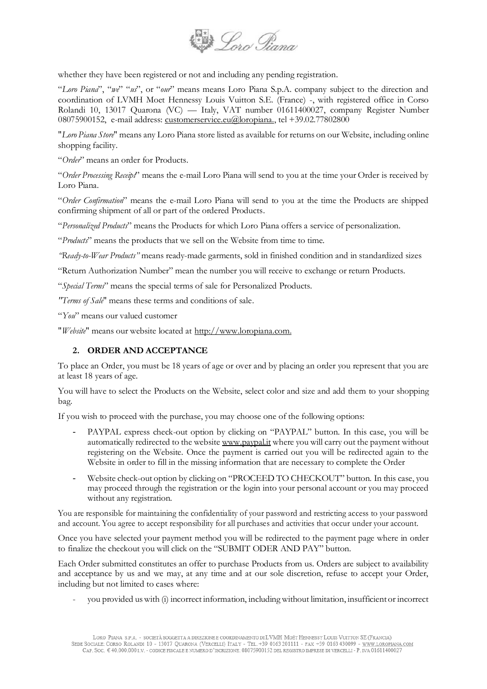

whether they have been registered or not and including any pending registration.

"*Loro Piana*", "*we*" "*us*", or "*our*" means means Loro Piana S.p.A. company subject to the direction and coordination of LVMH Moet Hennessy Louis Vuitton S.E. (France) -, with registered office in Corso Rolandi 10, 13017 Quarona (VC) — Italy, VAT number 01611400027, company Register Number 08075900152, e-mail address: [customerservice.eu@loropiana.,](mailto:customerservice.eu@loropiana.com) tel +39.02.77802800

"*Loro Piana Store*" means any Loro Piana store listed as available for returns on our Website, including online shopping facility.

"*Order*" means an order for Products.

"*Order Processing Receipt*" means the e-mail Loro Piana will send to you at the time your Order is received by Loro Piana.

"*Order Confirmation*" means the e-mail Loro Piana will send to you at the time the Products are shipped confirming shipment of all or part of the ordered Products.

"*Personalized Products*" means the Products for which Loro Piana offers a service of personalization.

"*Products*" means the products that we sell on the Website from time to time.

*"Ready-to-Wear Products"* means ready-made garments, sold in finished condition and in standardized sizes

"Return Authorization Number" mean the number you will receive to exchange or return Products.

"*Special Terms*" means the special terms of sale for Personalized Products.

*"Terms of Sale*" means these terms and conditions of sale.

"*You*" means our valued customer

"*Website*" means our website located at [http://www.loropiana.com.](http://www.loropiana.com/)

## **2. ORDER AND ACCEPTANCE**

To place an Order, you must be 18 years of age or over and by placing an order you represent that you are at least 18 years of age.

You will have to select the Products on the Website, select color and size and add them to your shopping bag.

If you wish to proceed with the purchase, you may choose one of the following options:

- PAYPAL express check-out option by clicking on "PAYPAL" button. In this case, you will be automatically redirected to the website [www.paypal.it](http://www.paypal.it/) where you will carry out the payment without registering on the Website. Once the payment is carried out you will be redirected again to the Website in order to fill in the missing information that are necessary to complete the Order
- Website check-out option by clicking on "PROCEED TO CHECKOUT" button. In this case, you may proceed through the registration or the login into your personal account or you may proceed without any registration.

You are responsible for maintaining the confidentiality of your password and restricting access to your password and account. You agree to accept responsibility for all purchases and activities that occur under your account.

Once you have selected your payment method you will be redirected to the payment page where in order to finalize the checkout you will click on the "SUBMIT ODER AND PAY" button.

Each Order submitted constitutes an offer to purchase Products from us. Orders are subject to availability and acceptance by us and we may, at any time and at our sole discretion, refuse to accept your Order, including but not limited to cases where:

- you provided us with (i) incorrect information, including without limitation, insufficient or incorrect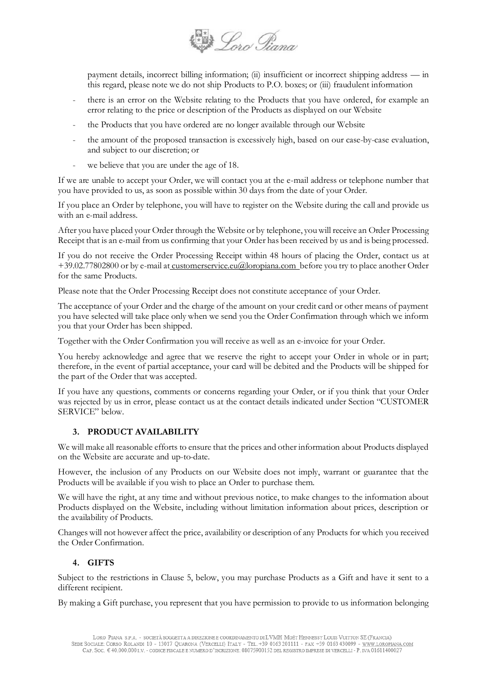

payment details, incorrect billing information; (ii) insufficient or incorrect shipping address — in this regard, please note we do not ship Products to P.O. boxes; or (iii) fraudulent information

- there is an error on the Website relating to the Products that you have ordered, for example an error relating to the price or description of the Products as displayed on our Website
- the Products that you have ordered are no longer available through our Website
- the amount of the proposed transaction is excessively high, based on our case-by-case evaluation, and subject to our discretion; or
- we believe that you are under the age of 18.

If we are unable to accept your Order, we will contact you at the e-mail address or telephone number that you have provided to us, as soon as possible within 30 days from the date of your Order.

If you place an Order by telephone, you will have to register on the Website during the call and provide us with an e-mail address.

After you have placed your Order through the Website or by telephone, you will receive an Order Processing Receipt that is an e-mail from us confirming that your Order has been received by us and is being processed.

If you do not receive the Order Processing Receipt within 48 hours of placing the Order, contact us at +39.02.77802800 or by e-mail at [customerservice.eu@loropiana.com b](mailto:%20customerservice.eu@loropiana.com)efore you try to place another Order for the same Products.

Please note that the Order Processing Receipt does not constitute acceptance of your Order.

The acceptance of your Order and the charge of the amount on your credit card or other means of payment you have selected will take place only when we send you the Order Confirmation through which we inform you that your Order has been shipped.

Together with the Order Confirmation you will receive as well as an e-invoice for your Order.

You hereby acknowledge and agree that we reserve the right to accept your Order in whole or in part; therefore, in the event of partial acceptance, your card will be debited and the Products will be shipped for the part of the Order that was accepted.

If you have any questions, comments or concerns regarding your Order, or if you think that your Order was rejected by us in error, please contact us at the contact details indicated under Section "CUSTOMER SERVICE" below.

### **3. PRODUCT AVAILABILITY**

We will make all reasonable efforts to ensure that the prices and other information about Products displayed on the Website are accurate and up-to-date.

However, the inclusion of any Products on our Website does not imply, warrant or guarantee that the Products will be available if you wish to place an Order to purchase them.

We will have the right, at any time and without previous notice, to make changes to the information about Products displayed on the Website, including without limitation information about prices, description or the availability of Products.

Changes will not however affect the price, availability or description of any Products for which you received the Order Confirmation.

### **4. GIFTS**

Subject to the restrictions in Clause 5, below, you may purchase Products as a Gift and have it sent to a different recipient.

By making a Gift purchase, you represent that you have permission to provide to us information belonging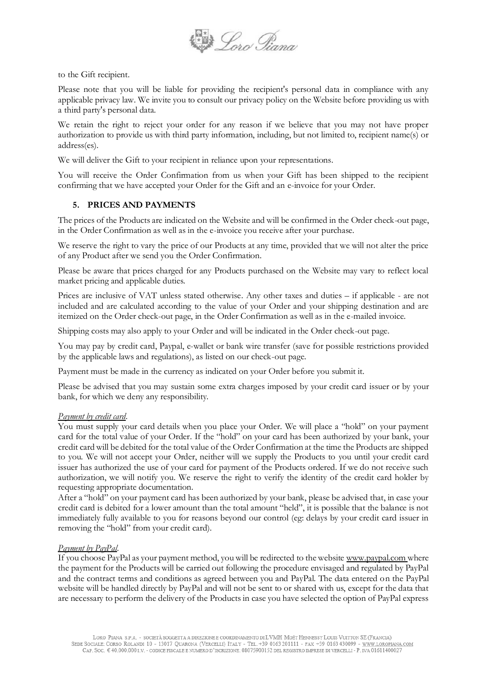

to the Gift recipient.

Please note that you will be liable for providing the recipient's personal data in compliance with any applicable privacy law. We invite you to consult our privacy policy on the Website before providing us with a third party's personal data.

We retain the right to reject your order for any reason if we believe that you may not have proper authorization to provide us with third party information, including, but not limited to, recipient name(s) or address(es).

We will deliver the Gift to your recipient in reliance upon your representations.

You will receive the Order Confirmation from us when your Gift has been shipped to the recipient confirming that we have accepted your Order for the Gift and an e-invoice for your Order.

### **5. PRICES AND PAYMENTS**

The prices of the Products are indicated on the Website and will be confirmed in the Order check-out page, in the Order Confirmation as well as in the e-invoice you receive after your purchase.

We reserve the right to vary the price of our Products at any time, provided that we will not alter the price of any Product after we send you the Order Confirmation.

Please be aware that prices charged for any Products purchased on the Website may vary to reflect local market pricing and applicable duties.

Prices are inclusive of VAT unless stated otherwise. Any other taxes and duties – if applicable - are not included and are calculated according to the value of your Order and your shipping destination and are itemized on the Order check-out page, in the Order Confirmation as well as in the e-mailed invoice.

Shipping costs may also apply to your Order and will be indicated in the Order check-out page.

You may pay by credit card, Paypal, e-wallet or bank wire transfer (save for possible restrictions provided by the applicable laws and regulations), as listed on our check-out page.

Payment must be made in the currency as indicated on your Order before you submit it.

Please be advised that you may sustain some extra charges imposed by your credit card issuer or by your bank, for which we deny any responsibility.

### *Payment by credit card.*

You must supply your card details when you place your Order. We will place a "hold" on your payment card for the total value of your Order. If the "hold" on your card has been authorized by your bank, your credit card will be debited for the total value of the Order Confirmation at the time the Products are shipped to you. We will not accept your Order, neither will we supply the Products to you until your credit card issuer has authorized the use of your card for payment of the Products ordered. If we do not receive such authorization, we will notify you. We reserve the right to verify the identity of the credit card holder by requesting appropriate documentation.

After a "hold" on your payment card has been authorized by your bank, please be advised that, in case your credit card is debited for a lower amount than the total amount "held", it is possible that the balance is not immediately fully available to you for reasons beyond our control (eg: delays by your credit card issuer in removing the "hold" from your credit card).

#### *Payment by PayPal*.

If you choose PayPal as your payment method, you will be redirected to the website [www.paypal.com](http://www.paypal.com/) where the payment for the Products will be carried out following the procedure envisaged and regulated by PayPal and the contract terms and conditions as agreed between you and PayPal. The data entered on the PayPal website will be handled directly by PayPal and will not be sent to or shared with us, except for the data that are necessary to perform the delivery of the Products in case you have selected the option of PayPal express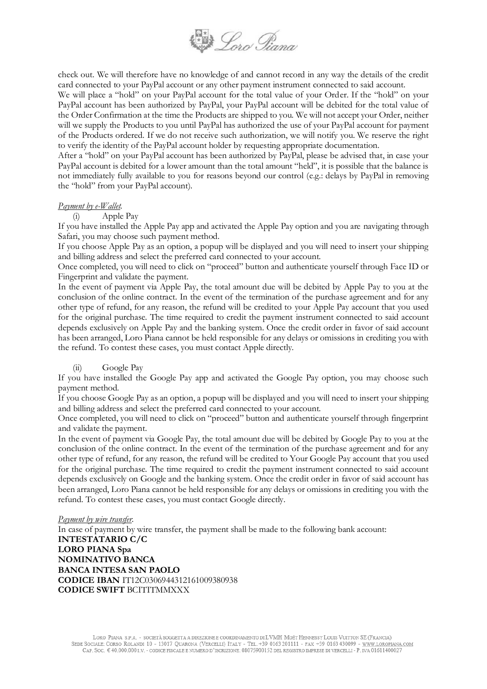

check out. We will therefore have no knowledge of and cannot record in any way the details of the credit card connected to your PayPal account or any other payment instrument connected to said account.

We will place a "hold" on your PayPal account for the total value of your Order. If the "hold" on your PayPal account has been authorized by PayPal, your PayPal account will be debited for the total value of the Order Confirmation at the time the Products are shipped to you. We will not accept your Order, neither will we supply the Products to you until PayPal has authorized the use of your PayPal account for payment of the Products ordered. If we do not receive such authorization, we will notify you. We reserve the right to verify the identity of the PayPal account holder by requesting appropriate documentation.

After a "hold" on your PayPal account has been authorized by PayPal, please be advised that, in case your PayPal account is debited for a lower amount than the total amount "held", it is possible that the balance is not immediately fully available to you for reasons beyond our control (e.g.: delays by PayPal in removing the "hold" from your PayPal account).

#### *Payment by e-Wallet.*

(i) Apple Pay

If you have installed the Apple Pay app and activated the Apple Pay option and you are navigating through Safari, you may choose such payment method.

If you choose Apple Pay as an option, a popup will be displayed and you will need to insert your shipping and billing address and select the preferred card connected to your account.

Once completed, you will need to click on "proceed" button and authenticate yourself through Face ID or Fingerprint and validate the payment.

In the event of payment via Apple Pay, the total amount due will be debited by Apple Pay to you at the conclusion of the online contract. In the event of the termination of the purchase agreement and for any other type of refund, for any reason, the refund will be credited to your Apple Pay account that you used for the original purchase. The time required to credit the payment instrument connected to said account depends exclusively on Apple Pay and the banking system. Once the credit order in favor of said account has been arranged, Loro Piana cannot be held responsible for any delays or omissions in crediting you with the refund. To contest these cases, you must contact Apple directly.

### (ii) Google Pay

If you have installed the Google Pay app and activated the Google Pay option, you may choose such payment method.

If you choose Google Pay as an option, a popup will be displayed and you will need to insert your shipping and billing address and select the preferred card connected to your account.

Once completed, you will need to click on "proceed" button and authenticate yourself through fingerprint and validate the payment.

In the event of payment via Google Pay, the total amount due will be debited by Google Pay to you at the conclusion of the online contract. In the event of the termination of the purchase agreement and for any other type of refund, for any reason, the refund will be credited to Your Google Pay account that you used for the original purchase. The time required to credit the payment instrument connected to said account depends exclusively on Google and the banking system. Once the credit order in favor of said account has been arranged, Loro Piana cannot be held responsible for any delays or omissions in crediting you with the refund. To contest these cases, you must contact Google directly.

#### *Payment by wire transfer.*

In case of payment by wire transfer, the payment shall be made to the following bank account: **INTESTATARIO C/C LORO PIANA Spa NOMINATIVO BANCA BANCA INTESA SAN PAOLO CODICE IBAN** IT12C0306944312161009380938 **CODICE SWIFT** BCITITMMXXX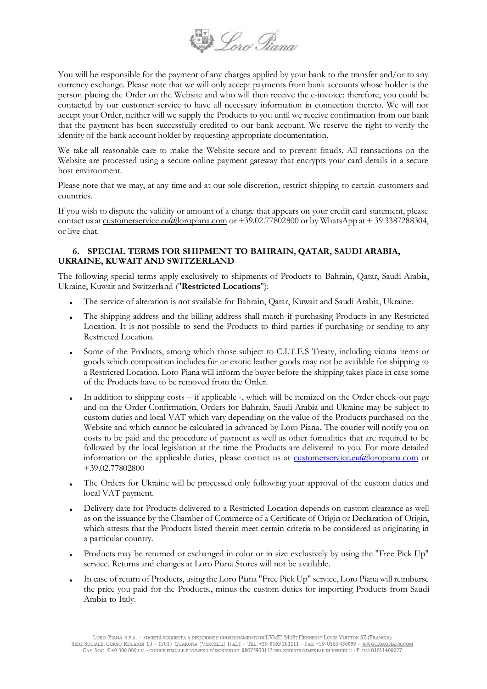

You will be responsible for the payment of any charges applied by your bank to the transfer and/or to any currency exchange. Please note that we will only accept payments from bank accounts whose holder is the person placing the Order on the Website and who will then receive the e-invoice: therefore, you could be contacted by our customer service to have all necessary information in connection thereto. We will not accept your Order, neither will we supply the Products to you until we receive confirmation from our bank that the payment has been successfully credited to our bank account. We reserve the right to verify the identity of the bank account holder by requesting appropriate documentation.

We take all reasonable care to make the Website secure and to prevent frauds. All transactions on the Website are processed using a secure online payment gateway that encrypts your card details in a secure host environment.

Please note that we may, at any time and at our sole discretion, restrict shipping to certain customers and countries.

If you wish to dispute the validity or amount of a charge that appears on your credit card statement, please contact us at [customerservice.eu@loropiana.com](mailto:customerservice.eu@loropiana.com) or +39.02.77802800 or by WhatsApp at + 39 3387288304, or live chat.

## **6. SPECIAL TERMS FOR SHIPMENT TO BAHRAIN, QATAR, SAUDI ARABIA, UKRAINE, KUWAIT AND SWITZERLAND**

The following special terms apply exclusively to shipments of Products to Bahrain, Qatar, Saudi Arabia, Ukraine, Kuwait and Switzerland ("**Restricted Locations**"):

- The service of alteration is not available for Bahrain, Qatar, Kuwait and Saudi Arabia, Ukraine.
- The shipping address and the billing address shall match if purchasing Products in any Restricted Location. It is not possible to send the Products to third parties if purchasing or sending to any Restricted Location.
- Some of the Products, among which those subject to C.I.T.E.S Treaty, including vicuna items or goods which composition includes fur or exotic leather goods may not be available for shipping to a Restricted Location. Loro Piana will inform the buyer before the shipping takes place in case some of the Products have to be removed from the Order.
- In addition to shipping costs if applicable -, which will be itemized on the Order check-out page and on the Order Confirmation, Orders for Bahrain, Saudi Arabia and Ukraine may be subject to custom duties and local VAT which vary depending on the value of the Products purchased on the Website and which cannot be calculated in advanced by Loro Piana. The courier will notify you on costs to be paid and the procedure of payment as well as other formalities that are required to be followed by the local legislation at the time the Products are delivered to you. For more detailed information on the applicable duties, please contact us at <u>[customerservice.eu@loropiana.com](mailto:customerservice.eu@loropiana.com)</u> or +39.02.77802800
- The Orders for Ukraine will be processed only following your approval of the custom duties and local VAT payment.
- Delivery date for Products delivered to a Restricted Location depends on custom clearance as well as on the issuance by the Chamber of Commerce of a Certificate of Origin or Declaration of Origin, which attests that the Products listed therein meet certain criteria to be considered as originating in a particular country.
- Products may be returned or exchanged in color or in size exclusively by using the "Free Pick Up" service. Returns and changes at Loro Piana Stores will not be available.
- In case of return of Products, using the Loro Piana "Free Pick Up" service, Loro Piana will reimburse the price you paid for the Products., minus the custom duties for importing Products from Saudi Arabia to Italy.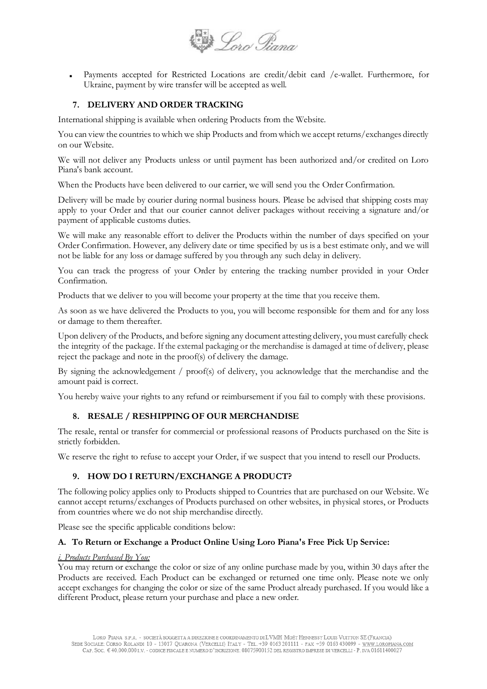

Payments accepted for Restricted Locations are credit/debit card /e-wallet. Furthermore, for Ukraine, payment by wire transfer will be accepted as well.

### **7. DELIVERY AND ORDER TRACKING**

International shipping is available when ordering Products from the Website.

You can view the countries to which we ship Products and from which we accept returns/exchanges directly on our Website.

We will not deliver any Products unless or until payment has been authorized and/or credited on Loro Piana's bank account.

When the Products have been delivered to our carrier, we will send you the Order Confirmation.

Delivery will be made by courier during normal business hours. Please be advised that shipping costs may apply to your Order and that our courier cannot deliver packages without receiving a signature and/or payment of applicable customs duties.

We will make any reasonable effort to deliver the Products within the number of days specified on your Order Confirmation. However, any delivery date or time specified by us is a best estimate only, and we will not be liable for any loss or damage suffered by you through any such delay in delivery.

You can track the progress of your Order by entering the tracking number provided in your Order Confirmation.

Products that we deliver to you will become your property at the time that you receive them.

As soon as we have delivered the Products to you, you will become responsible for them and for any loss or damage to them thereafter.

Upon delivery of the Products, and before signing any document attesting delivery, you must carefully check the integrity of the package. If the external packaging or the merchandise is damaged at time of delivery, please reject the package and note in the proof(s) of delivery the damage.

By signing the acknowledgement / proof(s) of delivery, you acknowledge that the merchandise and the amount paid is correct.

You hereby waive your rights to any refund or reimbursement if you fail to comply with these provisions.

## **8. RESALE / RESHIPPING OF OUR MERCHANDISE**

The resale, rental or transfer for commercial or professional reasons of Products purchased on the Site is strictly forbidden.

We reserve the right to refuse to accept your Order, if we suspect that you intend to resell our Products.

### **9. HOW DO I RETURN/EXCHANGE A PRODUCT?**

The following policy applies only to Products shipped to Countries that are purchased on our Website. We cannot accept returns/exchanges of Products purchased on other websites, in physical stores, or Products from countries where we do not ship merchandise directly.

Please see the specific applicable conditions below:

### **A. To Return or Exchange a Product Online Using Loro Piana's Free Pick Up Service:**

#### *i. Products Purchased By You:*

You may return or exchange the color or size of any online purchase made by you, within 30 days after the Products are received. Each Product can be exchanged or returned one time only. Please note we only accept exchanges for changing the color or size of the same Product already purchased. If you would like a different Product, please return your purchase and place a new order.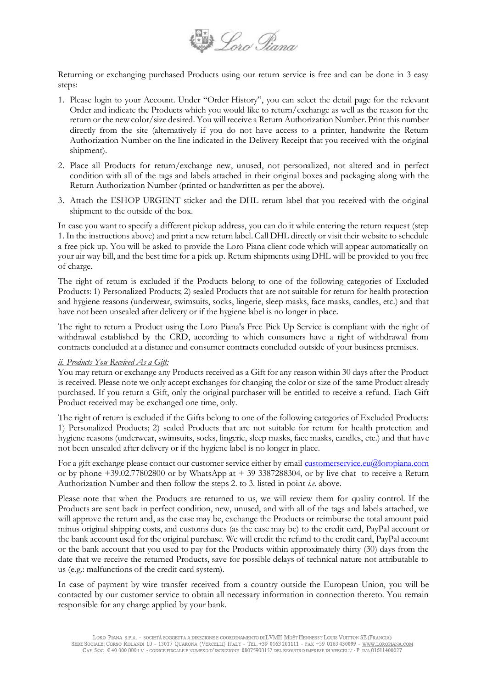

Returning or exchanging purchased Products using our return service is free and can be done in 3 easy steps:

- 1. Please login to your Account. Under "Order History", you can select the detail page for the relevant Order and indicate the Products which you would like to return/exchange as well as the reason for the return or the new color/size desired. You will receive a Return Authorization Number. Print this number directly from the site (alternatively if you do not have access to a printer, handwrite the Return Authorization Number on the line indicated in the Delivery Receipt that you received with the original shipment).
- 2. Place all Products for return/exchange new, unused, not personalized, not altered and in perfect condition with all of the tags and labels attached in their original boxes and packaging along with the Return Authorization Number (printed or handwritten as per the above).
- 3. Attach the ESHOP URGENT sticker and the DHL return label that you received with the original shipment to the outside of the box.

In case you want to specify a different pickup address, you can do it while entering the return request (step 1. In the instructions above) and print a new return label. Call DHL directly or visit their website to schedule a free pick up. You will be asked to provide the Loro Piana client code which will appear automatically on your air way bill, and the best time for a pick up. Return shipments using DHL will be provided to you free of charge.

The right of return is excluded if the Products belong to one of the following categories of Excluded Products: 1) Personalized Products; 2) sealed Products that are not suitable for return for health protection and hygiene reasons (underwear, swimsuits, socks, lingerie, sleep masks, face masks, candles, etc.) and that have not been unsealed after delivery or if the hygiene label is no longer in place.

The right to return a Product using the Loro Piana's Free Pick Up Service is compliant with the right of withdrawal established by the CRD, according to which consumers have a right of withdrawal from contracts concluded at a distance and consumer contracts concluded outside of your business premises.

#### *ii. Products You Received As a Gift:*

You may return or exchange any Products received as a Gift for any reason within 30 days after the Product is received. Please note we only accept exchanges for changing the color or size of the same Product already purchased. If you return a Gift, only the original purchaser will be entitled to receive a refund. Each Gift Product received may be exchanged one time, only.

The right of return is excluded if the Gifts belong to one of the following categories of Excluded Products: 1) Personalized Products; 2) sealed Products that are not suitable for return for health protection and hygiene reasons (underwear, swimsuits, socks, lingerie, sleep masks, face masks, candles, etc.) and that have not been unsealed after delivery or if the hygiene label is no longer in place.

For a gift exchange please contact our customer service either by email [customerservice.eu@loropiana.com](mailto:customerservice.eu@loropiana.com) or by phone +39.02.77802800 or by WhatsApp at + 39 3387288304, or by live chat to receive a Return Authorization Number and then follow the steps 2. to 3. listed in point *i.e.* above.

Please note that when the Products are returned to us, we will review them for quality control. If the Products are sent back in perfect condition, new, unused, and with all of the tags and labels attached, we will approve the return and, as the case may be, exchange the Products or reimburse the total amount paid minus original shipping costs, and customs dues (as the case may be) to the credit card, PayPal account or the bank account used for the original purchase. We will credit the refund to the credit card, PayPal account or the bank account that you used to pay for the Products within approximately thirty (30) days from the date that we receive the returned Products, save for possible delays of technical nature not attributable to us (e.g.: malfunctions of the credit card system).

In case of payment by wire transfer received from a country outside the European Union, you will be contacted by our customer service to obtain all necessary information in connection thereto. You remain responsible for any charge applied by your bank.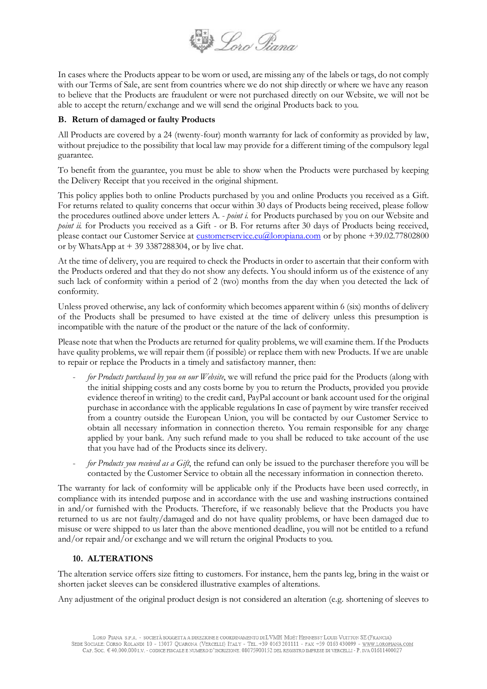

In cases where the Products appear to be worn or used, are missing any of the labels or tags, do not comply with our Terms of Sale, are sent from countries where we do not ship directly or where we have any reason to believe that the Products are fraudulent or were not purchased directly on our Website, we will not be able to accept the return/exchange and we will send the original Products back to you.

## **B. Return of damaged or faulty Products**

All Products are covered by a 24 (twenty-four) month warranty for lack of conformity as provided by law, without prejudice to the possibility that local law may provide for a different timing of the compulsory legal guarantee.

To benefit from the guarantee, you must be able to show when the Products were purchased by keeping the Delivery Receipt that you received in the original shipment.

This policy applies both to online Products purchased by you and online Products you received as a Gift. For returns related to quality concerns that occur within 30 days of Products being received, please follow the procedures outlined above under letters A. - *point i.* for Products purchased by you on our Website and *point ii.* for Products you received as a Gift - or B. For returns after 30 days of Products being received, please contact our Customer Service at [customerservice.eu@loropiana.com](mailto:customerservice.eu@loropiana.com) or by phone +39.02.77802800 or by WhatsApp at  $+ 39$  3387288304, or by live chat.

At the time of delivery, you are required to check the Products in order to ascertain that their conform with the Products ordered and that they do not show any defects. You should inform us of the existence of any such lack of conformity within a period of 2 (two) months from the day when you detected the lack of conformity.

Unless proved otherwise, any lack of conformity which becomes apparent within 6 (six) months of delivery of the Products shall be presumed to have existed at the time of delivery unless this presumption is incompatible with the nature of the product or the nature of the lack of conformity.

Please note that when the Products are returned for quality problems, we will examine them. If the Products have quality problems, we will repair them (if possible) or replace them with new Products. If we are unable to repair or replace the Products in a timely and satisfactory manner, then:

- *for Products purchased by you on our Website*, we will refund the price paid for the Products (along with the initial shipping costs and any costs borne by you to return the Products, provided you provide evidence thereof in writing) to the credit card, PayPal account or bank account used for the original purchase in accordance with the applicable regulations In case of payment by wire transfer received from a country outside the European Union, you will be contacted by our Customer Service to obtain all necessary information in connection thereto. You remain responsible for any charge applied by your bank. Any such refund made to you shall be reduced to take account of the use that you have had of the Products since its delivery.
- *for Products you received as a Gift*, the refund can only be issued to the purchaser therefore you will be contacted by the Customer Service to obtain all the necessary information in connection thereto.

The warranty for lack of conformity will be applicable only if the Products have been used correctly, in compliance with its intended purpose and in accordance with the use and washing instructions contained in and/or furnished with the Products. Therefore, if we reasonably believe that the Products you have returned to us are not faulty/damaged and do not have quality problems, or have been damaged due to misuse or were shipped to us later than the above mentioned deadline, you will not be entitled to a refund and/or repair and/or exchange and we will return the original Products to you.

## **10. ALTERATIONS**

The alteration service offers size fitting to customers. For instance, hem the pants leg, bring in the waist or shorten jacket sleeves can be considered illustrative examples of alterations.

Any adjustment of the original product design is not considered an alteration (e.g. shortening of sleeves to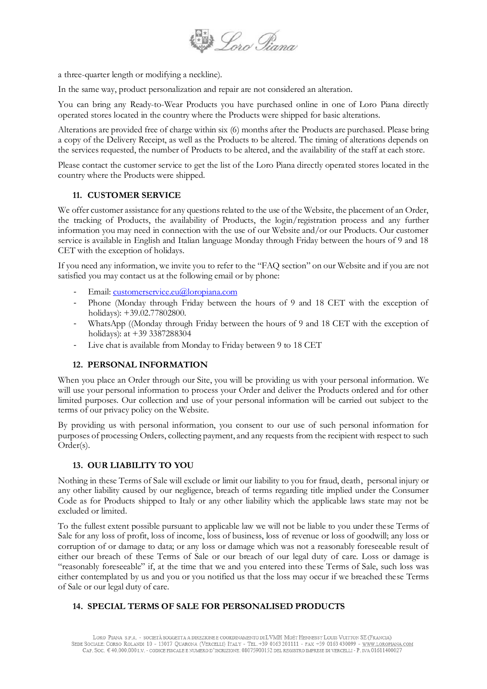

a three-quarter length or modifying a neckline).

In the same way, product personalization and repair are not considered an alteration.

You can bring any Ready-to-Wear Products you have purchased online in one of Loro Piana directly operated stores located in the country where the Products were shipped for basic alterations.

Alterations are provided free of charge within six (6) months after the Products are purchased. Please bring a copy of the Delivery Receipt, as well as the Products to be altered. The timing of alterations depends on the services requested, the number of Products to be altered, and the availability of the staff at each store.

Please contact the customer service to get the list of the Loro Piana directly operated stores located in the country where the Products were shipped.

# **11. CUSTOMER SERVICE**

We offer customer assistance for any questions related to the use of the Website, the placement of an Order, the tracking of Products, the availability of Products, the login/registration process and any further information you may need in connection with the use of our Website and/or our Products. Our customer service is available in English and Italian language Monday through Friday between the hours of 9 and 18 CET with the exception of holidays.

If you need any information, we invite you to refer to the "FAQ section" on our Website and if you are not satisfied you may contact us at the following email or by phone:

- Email: [customerservice.eu@loropiana.com](mailto:customerservice.eu@loropiana.com)
- Phone (Monday through Friday between the hours of 9 and 18 CET with the exception of holidays): +39.02.77802800.
- WhatsApp ((Monday through Friday between the hours of 9 and 18 CET with the exception of holidays): at +39 3387288304
- Live chat is available from Monday to Friday between 9 to 18 CET

### **12. PERSONAL INFORMATION**

When you place an Order through our Site, you will be providing us with your personal information. We will use your personal information to process your Order and deliver the Products ordered and for other limited purposes. Our collection and use of your personal information will be carried out subject to the terms of our privacy policy on the Website.

By providing us with personal information, you consent to our use of such personal information for purposes of processing Orders, collecting payment, and any requests from the recipient with respect to such Order(s).

## **13. OUR LIABILITY TO YOU**

Nothing in these Terms of Sale will exclude or limit our liability to you for fraud, death, personal injury or any other liability caused by our negligence, breach of terms regarding title implied under the Consumer Code as for Products shipped to Italy or any other liability which the applicable laws state may not be excluded or limited.

To the fullest extent possible pursuant to applicable law we will not be liable to you under these Terms of Sale for any loss of profit, loss of income, loss of business, loss of revenue or loss of goodwill; any loss or corruption of or damage to data; or any loss or damage which was not a reasonably foreseeable result of either our breach of these Terms of Sale or our breach of our legal duty of care. Loss or damage is "reasonably foreseeable" if, at the time that we and you entered into these Terms of Sale, such loss was either contemplated by us and you or you notified us that the loss may occur if we breached these Terms of Sale or our legal duty of care.

### **14. SPECIAL TERMS OF SALE FOR PERSONALISED PRODUCTS**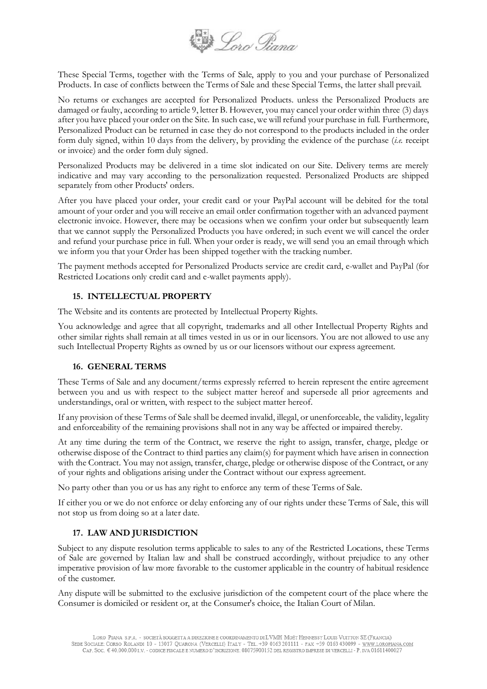

These Special Terms, together with the Terms of Sale, apply to you and your purchase of Personalized Products. In case of conflicts between the Terms of Sale and these Special Terms, the latter shall prevail.

No returns or exchanges are accepted for Personalized Products. unless the Personalized Products are damaged or faulty, according to article 9, letter B. However, you may cancel your order within three (3) days after you have placed your order on the Site. In such case, we will refund your purchase in full. Furthermore, Personalized Product can be returned in case they do not correspond to the products included in the order form duly signed, within 10 days from the delivery, by providing the evidence of the purchase (*i.e.* receipt or invoice) and the order form duly signed.

Personalized Products may be delivered in a time slot indicated on our Site. Delivery terms are merely indicative and may vary according to the personalization requested. Personalized Products are shipped separately from other Products' orders.

After you have placed your order, your credit card or your PayPal account will be debited for the total amount of your order and you will receive an email order confirmation together with an advanced payment electronic invoice. However, there may be occasions when we confirm your order but subsequently learn that we cannot supply the Personalized Products you have ordered; in such event we will cancel the order and refund your purchase price in full. When your order is ready, we will send you an email through which we inform you that your Order has been shipped together with the tracking number.

The payment methods accepted for Personalized Products service are credit card, e-wallet and PayPal (for Restricted Locations only credit card and e-wallet payments apply).

## **15. INTELLECTUAL PROPERTY**

The Website and its contents are protected by Intellectual Property Rights.

You acknowledge and agree that all copyright, trademarks and all other Intellectual Property Rights and other similar rights shall remain at all times vested in us or in our licensors. You are not allowed to use any such Intellectual Property Rights as owned by us or our licensors without our express agreement.

## **16. GENERAL TERMS**

These Terms of Sale and any document/terms expressly referred to herein represent the entire agreement between you and us with respect to the subject matter hereof and supersede all prior agreements and understandings, oral or written, with respect to the subject matter hereof.

If any provision of these Terms of Sale shall be deemed invalid, illegal, or unenforceable, the validity, legality and enforceability of the remaining provisions shall not in any way be affected or impaired thereby.

At any time during the term of the Contract, we reserve the right to assign, transfer, charge, pledge or otherwise dispose of the Contract to third parties any claim(s) for payment which have arisen in connection with the Contract. You may not assign, transfer, charge, pledge or otherwise dispose of the Contract, or any of your rights and obligations arising under the Contract without our express agreement.

No party other than you or us has any right to enforce any term of these Terms of Sale.

If either you or we do not enforce or delay enforcing any of our rights under these Terms of Sale, this will not stop us from doing so at a later date.

# **17. LAW AND JURISDICTION**

Subject to any dispute resolution terms applicable to sales to any of the Restricted Locations, these Terms of Sale are governed by Italian law and shall be construed accordingly, without prejudice to any other imperative provision of law more favorable to the customer applicable in the country of habitual residence of the customer.

Any dispute will be submitted to the exclusive jurisdiction of the competent court of the place where the Consumer is domiciled or resident or, at the Consumer's choice, the Italian Court of Milan.